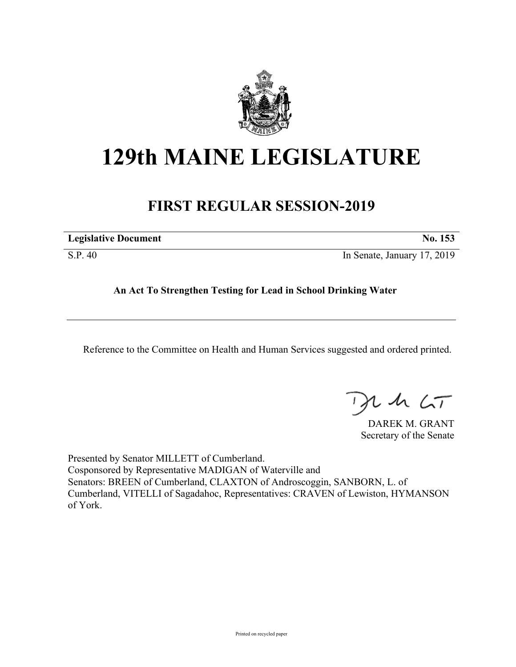

## **129th MAINE LEGISLATURE**

## **FIRST REGULAR SESSION-2019**

| <b>Legislative Document</b> | No. 153                     |
|-----------------------------|-----------------------------|
| S.P. 40                     | In Senate, January 17, 2019 |

**An Act To Strengthen Testing for Lead in School Drinking Water**

Reference to the Committee on Health and Human Services suggested and ordered printed.

, in  $\zeta$ T

DAREK M. GRANT Secretary of the Senate

Presented by Senator MILLETT of Cumberland. Cosponsored by Representative MADIGAN of Waterville and Senators: BREEN of Cumberland, CLAXTON of Androscoggin, SANBORN, L. of Cumberland, VITELLI of Sagadahoc, Representatives: CRAVEN of Lewiston, HYMANSON of York.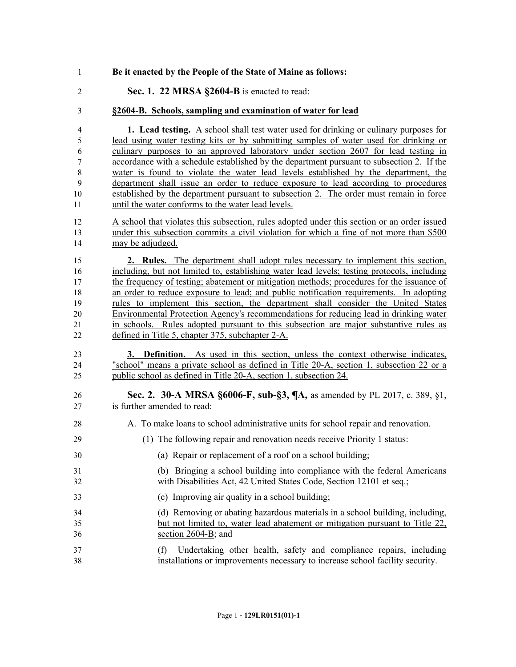- **Be it enacted by the People of the State of Maine as follows:**
- **Sec. 1. 22 MRSA §2604-B** is enacted to read:
- **§2604-B. Schools, sampling and examination of water for lead**

 **1. Lead testing.** A school shall test water used for drinking or culinary purposes for lead using water testing kits or by submitting samples of water used for drinking or culinary purposes to an approved laboratory under section 2607 for lead testing in accordance with a schedule established by the department pursuant to subsection 2. If the water is found to violate the water lead levels established by the department, the department shall issue an order to reduce exposure to lead according to procedures established by the department pursuant to subsection 2. The order must remain in force until the water conforms to the water lead levels.

 A school that violates this subsection, rules adopted under this section or an order issued under this subsection commits a civil violation for which a fine of not more than \$500 may be adjudged.

 **2. Rules.** The department shall adopt rules necessary to implement this section, including, but not limited to, establishing water lead levels; testing protocols, including the frequency of testing; abatement or mitigation methods; procedures for the issuance of an order to reduce exposure to lead; and public notification requirements. In adopting rules to implement this section, the department shall consider the United States Environmental Protection Agency's recommendations for reducing lead in drinking water in schools. Rules adopted pursuant to this subsection are major substantive rules as defined in Title 5, chapter 375, subchapter 2-A.

- **3. Definition.** As used in this section, unless the context otherwise indicates, "school" means a private school as defined in Title 20-A, section 1, subsection 22 or a public school as defined in Title 20-A, section 1, subsection 24.
- **Sec. 2. 30-A MRSA §6006-F, sub-§3, ¶A,** as amended by PL 2017, c. 389, §1, is further amended to read:
- A. To make loans to school administrative units for school repair and renovation.
- (1) The following repair and renovation needs receive Priority 1 status:
- (a) Repair or replacement of a roof on a school building;
- (b) Bringing a school building into compliance with the federal Americans with Disabilities Act, 42 United States Code, Section 12101 et seq.;
- (c) Improving air quality in a school building;
- (d) Removing or abating hazardous materials in a school building, including, but not limited to, water lead abatement or mitigation pursuant to Title 22, section 2604-B; and
- (f) Undertaking other health, safety and compliance repairs, including installations or improvements necessary to increase school facility security.